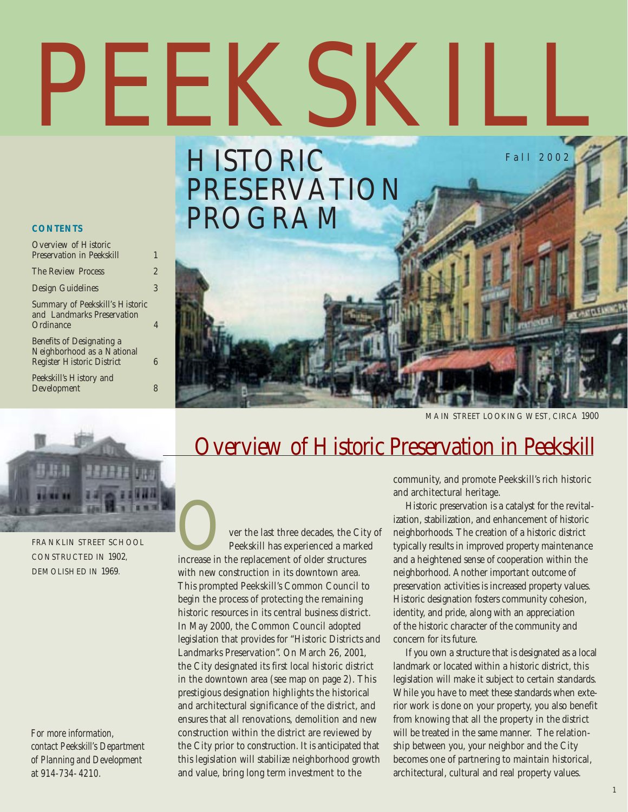# PEEKSKII Fall 2002

## HISTORIC PRESERVATION PROGRAM

#### **CONTENTS**

| Overview of Historic<br><b>Preservation in Peekskill</b>                                     |   |
|----------------------------------------------------------------------------------------------|---|
| The Review Process                                                                           | 2 |
| <b>Design Guidelines</b>                                                                     | 3 |
| Summary of Peekskill's Historic<br>and Landmarks Preservation<br>Ordinance                   |   |
| Benefits of Designating a<br>Neighborhood as a National<br><b>Register Historic District</b> |   |

Peekskill's History and Development 8





FRANKLIN STREET SCHOOL CONSTRUCTED IN 1902, DEMOLISHED IN 1969.

*For more information, contact Peekskill's Department of Planning and Development at 914-734- 4210.*

## Overview of Historic Preservation in Peekskill

Over the last three decades, the City of increase in the replacement of older structures Peekskill has experienced a marked with new construction in its downtown area. This prompted Peekskill's Common Council to begin the process of protecting the remaining historic resources in its central business district. In May 2000, the Common Council adopted legislation that provides for "Historic Districts and Landmarks Preservation". On March 26, 2001, the City designated its first local historic district in the downtown area (see map on page 2). This prestigious designation highlights the historical and architectural significance of the district, and ensures that all renovations, demolition and new construction within the district are reviewed by the City prior to construction. It is anticipated that this legislation will stabilize neighborhood growth and value, bring long term investment to the

community, and promote Peekskill's rich historic and architectural heritage.

Historic preservation is a catalyst for the revitalization, stabilization, and enhancement of historic neighborhoods. The creation of a historic district typically results in improved property maintenance and a heightened sense of cooperation within the neighborhood. Another important outcome of preservation activities is increased property values. Historic designation fosters community cohesion, identity, and pride, along with an appreciation of the historic character of the community and concern for its future.

If you own a structure that is designated as a local landmark or located within a historic district, this legislation will make it subject to certain standards. While you have to meet these standards when exterior work is done on your property, you also benefit from knowing that all the property in the district will be treated in the same manner. The relationship between you, your neighbor and the City becomes one of partnering to maintain historical, architectural, cultural and real property values.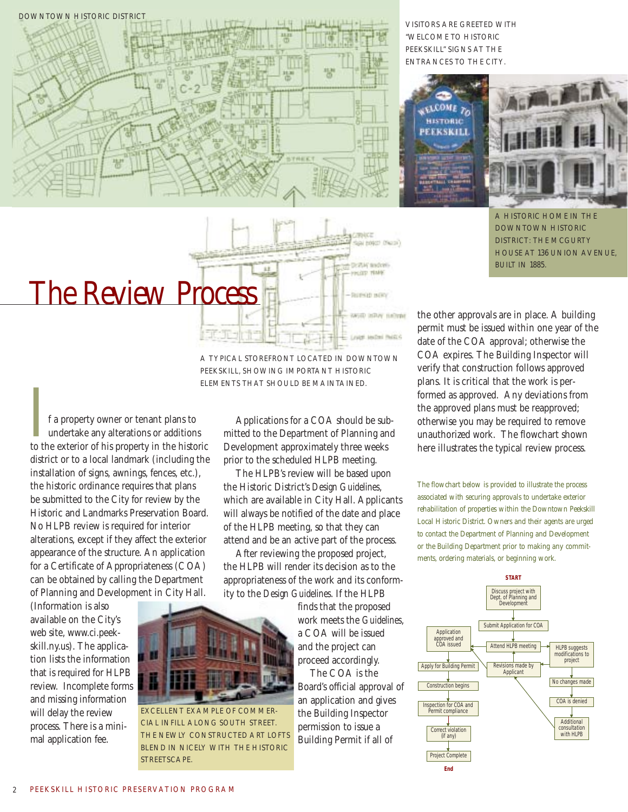

VISITORS ARE GREETED WITH "WELCOME TO HISTORIC PEEKSKILL" SIGNS AT THE ENTRANCES TO THE CITY.



A HISTORIC HOME IN THE DOWNTOWN HISTORIC DISTRICT: THE MCGURTY HOUSE AT 136 UNION AVENUE, BUILT IN 1885.

## The Review Process

A TYPICAL STOREFRONT LOCATED IN DOWNTOWN PEEKSKILL, SHOWING IMPORTANT HISTORIC ELEMENTS THAT SHOULD BE MAINTAINED.

If a property owner or tenant plans to undertake any alterations or additions to the exterior of his property in the historic undertake any alterations or additions district or to a local landmark (including the installation of signs, awnings, fences, etc.), the historic ordinance requires that plans be submitted to the City for review by the Historic and Landmarks Preservation Board. No HLPB review is required for interior alterations, except if they affect the exterior appearance of the structure. An application for a Certificate of Appropriateness (COA) can be obtained by calling the Department of Planning and Development in City Hall.

(Information is also available on the City's web site, www.ci.peekskill.ny.us). The application lists the information that is required for HLPB review. Incomplete forms and missing information will delay the review process. There is a minimal application fee.

Applications for a COA should be submitted to the Department of Planning and Development approximately three weeks prior to the scheduled HLPB meeting.

The HLPB's review will be based upon the Historic District's *Design Guidelines*, which are available in City Hall. Applicants will always be notified of the date and place of the HLPB meeting, so that they can attend and be an active part of the process.

After reviewing the proposed project, the HLPB will render its decision as to the appropriateness of the work and its conformity to the *Design Guidelines*. If the HLPB

> finds that the proposed work meets the *Guidelines*, a COA will be issued and the project can proceed accordingly.

hospit (Near)

Drift in and cell **KIDE TEMP** 

**ROESD BER** 

Will IsBay nahran

The COA is the Board's official approval of an application and gives the Building Inspector permission to issue a Building Permit if all of

the other approvals are in place. A building permit must be issued within one year of the date of the COA approval; otherwise the COA expires. The Building Inspector will verify that construction follows approved plans. It is critical that the work is performed as approved. Any deviations from the approved plans must be reapproved; otherwise you may be required to remove unauthorized work. The flowchart shown here illustrates the typical review process.

The flowchart below is provided to illustrate the process associated with securing approvals to undertake exterior rehabilitation of properties within the Downtown Peekskill Local Historic District. Owners and their agents are urged to contact the Department of Planning and Development or the Building Department prior to making any commitments, ordering materials, or beginning work.





CIAL INFILL ALONG SOUTH STREET. THE NEWLY CONSTRUCTED ART LOFTS BLEND IN NICELY WITH THE HISTORIC

STREETSCAPE.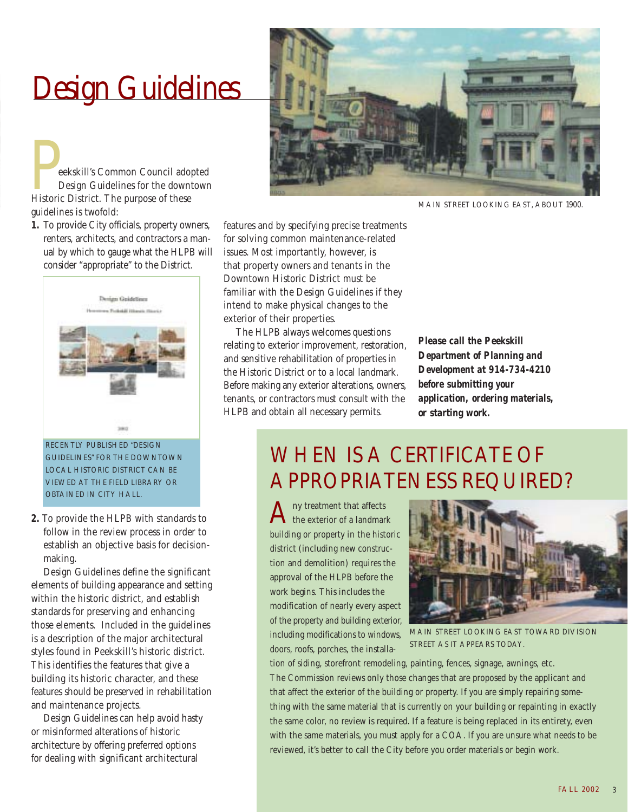## Design Guidelines

Peekskill's Common Council adopted<br>Design Guidelines for the downtown<br>Historic District. The purpose of these Design Guidelines for the downtown guidelines is twofold:

**1.** To provide City officials, property owners, renters, architects, and contractors a manual by which to gauge what the HLPB will consider "appropriate" to the District.



RECENTLY PUBLISHED "DESIGN GUIDELINES" FOR THE DOWNTOWN LOCAL HISTORIC DISTRICT CAN BE VIEWED AT THE FIELD LIBRARY OR OBTAINED IN CITY HALL.

**2.** To provide the HLPB with standards to follow in the review process in order to establish an objective basis for decisionmaking.

Design Guidelines define the significant elements of building appearance and setting within the historic district, and establish standards for preserving and enhancing those elements. Included in the guidelines is a description of the major architectural styles found in Peekskill's historic district. This identifies the features that give a building its historic character, and these features should be preserved in rehabilitation and maintenance projects.

Design Guidelines can help avoid hasty or misinformed alterations of historic architecture by offering preferred options for dealing with significant architectural



MAIN STREET LOOKING EAST, ABOUT 1900.

features and by specifying precise treatments for solving common maintenance-related issues. Most importantly, however, is that property owners and tenants in the Downtown Historic District must be familiar with the Design Guidelines if they intend to make physical changes to the exterior of their properties.

The HLPB always welcomes questions relating to exterior improvement, restoration, and sensitive rehabilitation of properties in the Historic District or to a local landmark. Before making any exterior alterations, owners, tenants, or contractors must consult with the HLPB and obtain all necessary permits.

*Please call the Peekskill Department of Planning and Development at 914-734-4210 before submitting your application, ordering materials, or starting work.*

## WHEN IS A CERTIFICATE OF APPROPRIATENESS REQUIRED?

ny treatment that affects the exterior of a landmark building or property in the historic district (including new construction and demolition) requires the approval of the HLPB before the work begins. This includes the modification of nearly every aspect of the property and building exterior, including modifications to windows, doors, roofs, porches, the installa-



MAIN STREET LOOKING EAST TOWARD DIVISION STREET AS IT APPEARS TODAY.

tion of siding, storefront remodeling, painting, fences, signage, awnings, etc. The Commission reviews only those changes that are proposed by the applicant and that affect the exterior of the building or property. If you are simply repairing something with the same material that is currently on your building or repainting in exactly the same color, no review is required. If a feature is being replaced in its entirety, even with the same materials, you must apply for a COA. If you are unsure what needs to be reviewed, it's better to call the City before you order materials or begin work.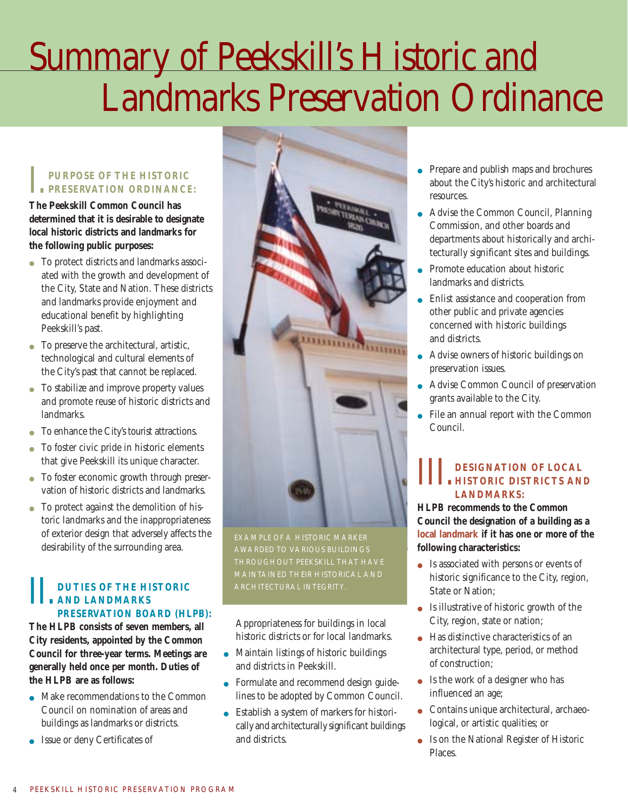## Summary of Peekskill's Historic and Landmarks Preservation Ordinance

#### I.**PURPOSE OF THE HISTORIC PRESERVATION ORDINANCE:**

**The Peekskill Common Council has determined that it is desirable to designate local historic districts and landmarks for the following public purposes:**

- To protect districts and landmarks associated with the growth and development of the City, State and Nation. These districts and landmarks provide enjoyment and educational benefit by highlighting Peekskill's past.
- To preserve the architectural, artistic, technological and cultural elements of the City's past that cannot be replaced.
- To stabilize and improve property values and promote reuse of historic districts and landmarks.
- To enhance the City's tourist attractions.
- To foster civic pride in historic elements that give Peekskill its unique character.
- To foster economic growth through preservation of historic districts and landmarks.
- To protect against the demolition of historic landmarks and the inappropriateness of exterior design that adversely affects the desirability of the surrounding area.

#### **DUTIES OF THE HISTORIC AND LANDMARKS PRESERVATION BOARD (HLPB):**

**The HLPB consists of seven members, all City residents, appointed by the Common Council for three-year terms. Meetings are generally held once per month. Duties of the HLPB are as follows:**

- Make recommendations to the Common Council on nomination of areas and buildings as landmarks or districts.
- Issue or deny Certificates of



EXAMPLE OF A HISTORIC MARKER AWARDED TO VARIOUS BUILDINGS MAINTAINED THEIR HISTORICAL AND

Appropriateness for buildings in local historic districts or for local landmarks.

- Maintain listings of historic buildings and districts in Peekskill.
- Formulate and recommend design guidelines to be adopted by Common Council.
- Establish a system of markers for historically and architecturally significant buildings and districts.
- Prepare and publish maps and brochures about the City's historic and architectural resources.
- Advise the Common Council, Planning Commission, and other boards and departments about historically and architecturally significant sites and buildings.
- Promote education about historic landmarks and districts.
- Enlist assistance and cooperation from other public and private agencies concerned with historic buildings and districts.
- Advise owners of historic buildings on preservation issues.
- Advise Common Council of preservation grants available to the City.
- $\bullet~$  File an annual report with the Common Council.

## **III.** DESIGNATION OF LOCAL<br> **HISTORIC DISTRICTS AND LANDMARKS:**

**HLPB recommends to the Common Council the designation of a building as a local landmark if it has one or more of the following characteristics:**

- Is associated with persons or events of historic significance to the City, region, State or Nation;
- Is illustrative of historic growth of the City, region, state or nation;
- Has distinctive characteristics of an architectural type, period, or method of construction;
- $\bullet$  Is the work of a designer who has influenced an age;
- Contains unique architectural, archaeological, or artistic qualities; or
- Is on the National Register of Historic Places.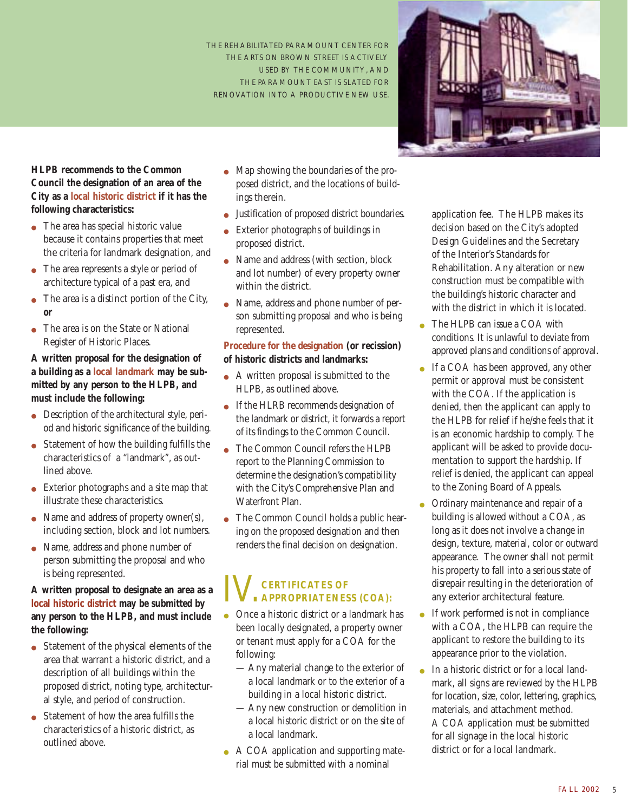THE REHABILITATED PARAMOUNT CENTER FOR THE ARTS ON BROWN STREET IS ACTIVELY USED BY THE COMMUNITY, AND THE PARAMOUNT EAST IS SLATED FOR RENOVATION INTO A PRODUCTIVE NEW USE.



**HLPB recommends to the Common Council the designation of an area of the City as a local historic district if it has the following characteristics:**

- The area has special historic value because it contains properties that meet the criteria for landmark designation, and
- The area represents a style or period of architecture typical of a past era, and
- The area is a distinct portion of the City, **or**
- The area is on the State or National Register of Historic Places.

#### **A written proposal for the designation of a building as a local landmark may be submitted by any person to the HLPB, and must include the following:**

- Description of the architectural style, period and historic significance of the building.
- Statement of how the building fulfills the characteristics of a "landmark", as outlined above.
- Exterior photographs and a site map that illustrate these characteristics.
- Name and address of property owner(s), including section, block and lot numbers.
- Name, address and phone number of person submitting the proposal and who is being represented.

#### **A written proposal to designate an area as a local historic district may be submitted by any person to the HLPB, and must include the following:**

- Statement of the physical elements of the area that warrant a historic district, and a description of all buildings within the proposed district, noting type, architectural style, and period of construction.
- Statement of how the area fulfills the characteristics of a historic district, as outlined above.
- Map showing the boundaries of the proposed district, and the locations of buildings therein.
- Justification of proposed district boundaries.
- Exterior photographs of buildings in proposed district.
- Name and address (with section, block and lot number) of every property owner within the district.
- Name, address and phone number of person submitting proposal and who is being represented.

#### **Procedure for the designation (or recission) of historic districts and landmarks:**

- A written proposal is submitted to the HLPB, as outlined above.
- If the HLRB recommends designation of the landmark or district, it forwards a report of its findings to the Common Council.
- The Common Council refers the HLPB report to the Planning Commission to determine the designation's compatibility with the City's Comprehensive Plan and Waterfront Plan.
- The Common Council holds a public hearing on the proposed designation and then renders the final decision on designation.

## IV.**CERTIFICATES OF APPROPRIATENESS (COA):**

- Once a historic district or a landmark has been locally designated, a property owner or tenant must apply for a COA for the following:
	- Any material change to the exterior of a local landmark or to the exterior of a building in a local historic district.
	- Any new construction or demolition in a local historic district or on the site of a local landmark.
- A COA application and supporting material must be submitted with a nominal

application fee. The HLPB makes its decision based on the City's adopted Design Guidelines and the Secretary of the Interior's Standards for Rehabilitation. Any alteration or new construction must be compatible with the building's historic character and with the district in which it is located.

- The HLPB can issue a COA with conditions. It is unlawful to deviate from approved plans and conditions of approval.
- If a COA has been approved, any other permit or approval must be consistent with the COA. If the application is denied, then the applicant can apply to the HLPB for relief if he/she feels that it is an economic hardship to comply. The applicant will be asked to provide documentation to support the hardship. If relief is denied, the applicant can appeal to the Zoning Board of Appeals.
- Ordinary maintenance and repair of a building is allowed without a COA, as long as it does not involve a change in design, texture, material, color or outward appearance. The owner shall not permit his property to fall into a serious state of disrepair resulting in the deterioration of any exterior architectural feature.
- If work performed is not in compliance with a COA, the HLPB can require the applicant to restore the building to its appearance prior to the violation.
- In a historic district or for a local landmark, all signs are reviewed by the HLPB for location, size, color, lettering, graphics, materials, and attachment method. A COA application must be submitted for all signage in the local historic district or for a local landmark.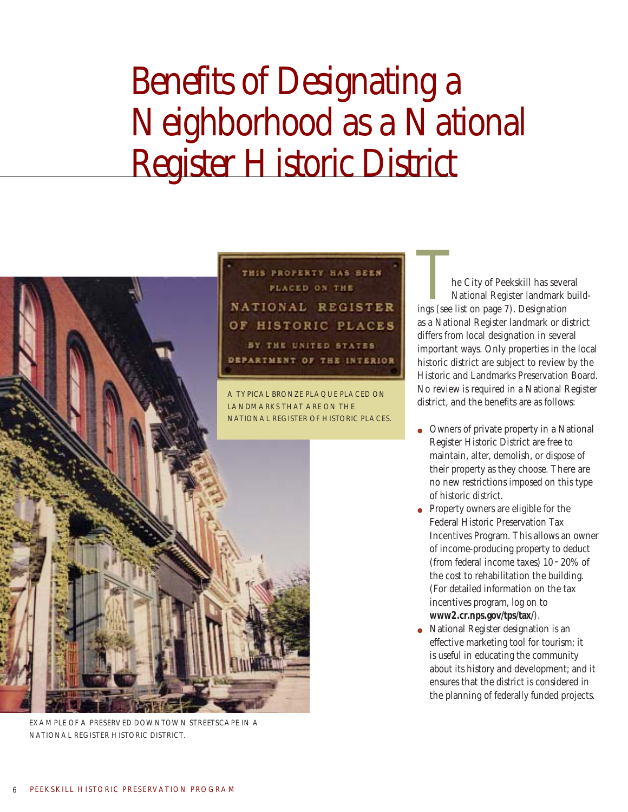## Benefits of Designating a Neighborhood as a National Register Historic District

THIS PROPERTY HAS BEEN



EXAMPLE OF A PRESERVED DOWNTOWN STREETSCAPE IN A NATIONAL REGISTER HISTORIC DISTRICT.

The City of Peekskill has several ings (see list on page 7). Designation National Register landmark buildas a National Register landmark or district differs from local designation in several important ways. Only properties in the local historic district are subject to review by the Historic and Landmarks Preservation Board. No review is required in a National Register district, and the benefits are as follows:

- Owners of private property in a National Register Historic District are free to maintain, alter, demolish, or dispose of their property as they choose. There are no new restrictions imposed on this type of historic district.
- Property owners are eligible for the Federal Historic Preservation Tax Incentives Program. This allows an owner of income-producing property to deduct (from federal income taxes) 10 –20% of the cost to rehabilitation the building. (For detailed information on the tax incentives program, log on to **www2.cr.nps.gov/tps/tax/**).
- National Register designation is an effective marketing tool for tourism; it is useful in educating the community about its history and development; and it ensures that the district is considered in the planning of federally funded projects.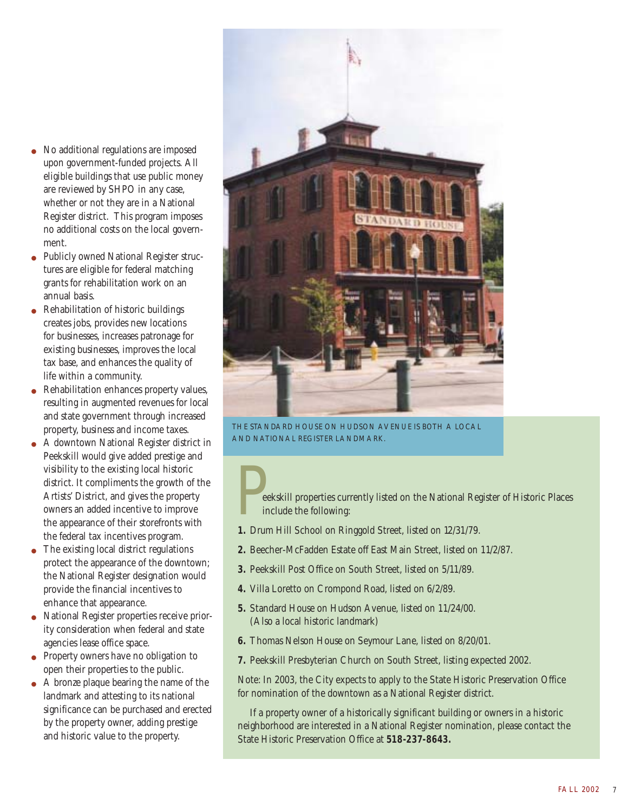- No additional regulations are imposed upon government-funded projects. All eligible buildings that use public money are reviewed by SHPO in any case, whether or not they are in a National Register district. This program imposes no additional costs on the local government.
- Publicly owned National Register structures are eligible for federal matching grants for rehabilitation work on an annual basis.
- Rehabilitation of historic buildings creates jobs, provides new locations for businesses, increases patronage for existing businesses, improves the local tax base, and enhances the quality of life within a community.
- Rehabilitation enhances property values, resulting in augmented revenues for local and state government through increased property, business and income taxes.
- A downtown National Register district in Peekskill would give added prestige and visibility to the existing local historic district. It compliments the growth of the Artists' District, and gives the property owners an added incentive to improve the appearance of their storefronts with the federal tax incentives program.
- The existing local district regulations protect the appearance of the downtown; the National Register designation would provide the financial incentives to enhance that appearance.
- National Register properties receive priority consideration when federal and state agencies lease office space.
- Property owners have no obligation to open their properties to the public.
- A bronze plaque bearing the name of the landmark and attesting to its national significance can be purchased and erected by the property owner, adding prestige and historic value to the property.



THE STANDARD HOUSE ON HUDSON AVENUE IS BOTH A LOCAL AND NATIONAL REGISTER LANDMARK.

eekskill properties currently listed on the National Register of Historic Places include the following:

- **1.** Drum Hill School on Ringgold Street, listed on 12/31/79.
- **2.** Beecher-McFadden Estate off East Main Street, listed on 11/2/87.
- **3.** Peekskill Post Office on South Street, listed on 5/11/89.
- **4.** Villa Loretto on Crompond Road, listed on 6/2/89.
- **5.** Standard House on Hudson Avenue, listed on 11/24/00. (Also a local historic landmark)
- **6.** Thomas Nelson House on Seymour Lane, listed on 8/20/01.
- **7.** Peekskill Presbyterian Church on South Street, listing expected 2002.

Note: In 2003, the City expects to apply to the State Historic Preservation Office for nomination of the downtown as a National Register district.

If a property owner of a historically significant building or owners in a historic neighborhood are interested in a National Register nomination, please contact the State Historic Preservation Office at **518-237-8643.**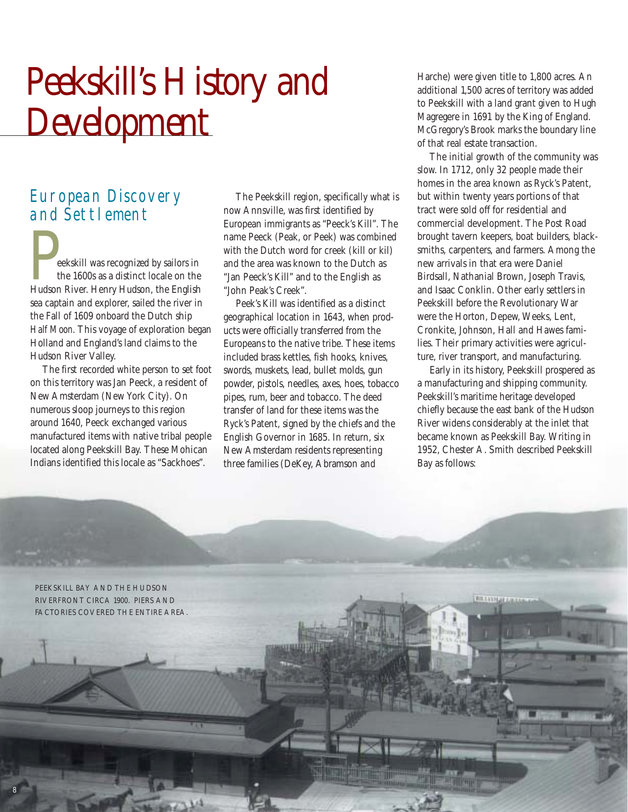## Peekskill's History and **Development**

### European Discovery and Settlement

Peekskill was recognized by sailors in Hudson River. Henry Hudson, the English the 1600s as a distinct locale on the sea captain and explorer, sailed the river in the Fall of 1609 onboard the Dutch ship *Half Moon*. This voyage of exploration began Holland and England's land claims to the Hudson River Valley.

The first recorded white person to set foot on this territory was Jan Peeck, a resident of New Amsterdam (New York City). On numerous sloop journeys to this region around 1640, Peeck exchanged various manufactured items with native tribal people located along Peekskill Bay. These Mohican Indians identified this locale as "Sackhoes".

The Peekskill region, specifically what is now Annsville, was first identified by European immigrants as "Peeck's Kill". The name Peeck (Peak, or Peek) was combined with the Dutch word for creek (kill or kil) and the area was known to the Dutch as "Jan Peeck's Kill" and to the English as "John Peak's Creek".

Peek's Kill was identified as a distinct geographical location in 1643, when products were officially transferred from the Europeans to the native tribe. These items included brass kettles, fish hooks, knives, swords, muskets, lead, bullet molds, gun powder, pistols, needles, axes, hoes, tobacco pipes, rum, beer and tobacco. The deed transfer of land for these items was the Ryck's Patent, signed by the chiefs and the English Governor in 1685. In return, six New Amsterdam residents representing three families (DeKey, Abramson and

**RESIDENT** 

**ATTORNING** 

Harche) were given title to 1,800 acres. An additional 1,500 acres of territory was added to Peekskill with a land grant given to Hugh Magregere in 1691 by the King of England. McGregory's Brook marks the boundary line of that real estate transaction.

The initial growth of the community was slow. In 1712, only 32 people made their homes in the area known as Ryck's Patent, but within twenty years portions of that tract were sold off for residential and commercial development. The Post Road brought tavern keepers, boat builders, blacksmiths, carpenters, and farmers. Among the new arrivals in that era were Daniel Birdsall, Nathanial Brown, Joseph Travis, and Isaac Conklin. Other early settlers in Peekskill before the Revolutionary War were the Horton, Depew, Weeks, Lent, Cronkite, Johnson, Hall and Hawes families. Their primary activities were agriculture, river transport, and manufacturing.

Early in its history, Peekskill prospered as a manufacturing and shipping community. Peekskill's maritime heritage developed chiefly because the east bank of the Hudson River widens considerably at the inlet that became known as Peekskill Bay. Writing in 1952, Chester A. Smith described Peekskill Bay as follows:

PEEKSKILL BAY AND THE HUDSON RIVERFRONT CIRCA 1900. PIERS AND FACTORIES COVERED THE ENTIRE AREA.

8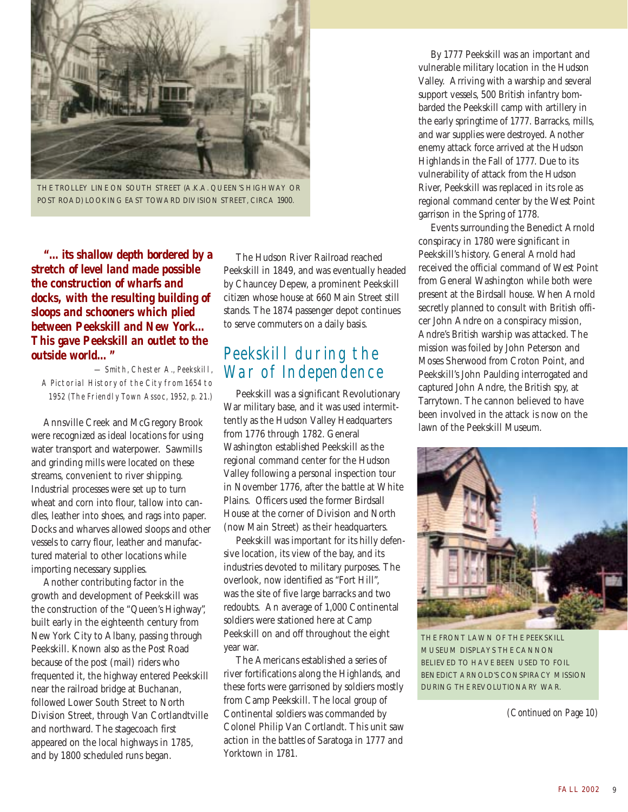

THE TROLLEY LINE ON SOUTH STREET (A.K.A. QUEEN'S HIGHWAY OR POST ROAD) LOOKING EAST TOWARD DIVISION STREET, CIRCA 1900.

*"…its shallow depth bordered by a stretch of level land made possible the construction of wharfs and docks, with the resulting building of sloops and schooners which plied between Peekskill and New York… This gave Peekskill an outlet to the outside world…"*

— Smith, Chester A., Peekskill, A Pictorial History of the City from 1654 to 1952 (The Friendly Town Assoc, 1952, p. 21.)

Annsville Creek and McGregory Brook were recognized as ideal locations for using water transport and waterpower. Sawmills and grinding mills were located on these streams, convenient to river shipping. Industrial processes were set up to turn wheat and corn into flour, tallow into candles, leather into shoes, and rags into paper. Docks and wharves allowed sloops and other vessels to carry flour, leather and manufactured material to other locations while importing necessary supplies.

Another contributing factor in the growth and development of Peekskill was the construction of the "Queen's Highway", built early in the eighteenth century from New York City to Albany, passing through Peekskill. Known also as the Post Road because of the post (mail) riders who frequented it, the highway entered Peekskill near the railroad bridge at Buchanan, followed Lower South Street to North Division Street, through Van Cortlandtville and northward. The stagecoach first appeared on the local highways in 1785, and by 1800 scheduled runs began.

The Hudson River Railroad reached Peekskill in 1849, and was eventually headed by Chauncey Depew, a prominent Peekskill citizen whose house at 660 Main Street still stands. The 1874 passenger depot continues to serve commuters on a daily basis.

### Peekskill during the War of Independence

Peekskill was a significant Revolutionary War military base, and it was used intermittently as the Hudson Valley Headquarters from 1776 through 1782. General Washington established Peekskill as the regional command center for the Hudson Valley following a personal inspection tour in November 1776, after the battle at White Plains. Officers used the former Birdsall House at the corner of Division and North (now Main Street) as their headquarters.

Peekskill was important for its hilly defensive location, its view of the bay, and its industries devoted to military purposes. The overlook, now identified as "Fort Hill", was the site of five large barracks and two redoubts. An average of 1,000 Continental soldiers were stationed here at Camp Peekskill on and off throughout the eight year war.

The Americans established a series of river fortifications along the Highlands, and these forts were garrisoned by soldiers mostly from Camp Peekskill. The local group of Continental soldiers was commanded by Colonel Philip Van Cortlandt. This unit saw action in the battles of Saratoga in 1777 and Yorktown in 1781.

By 1777 Peekskill was an important and vulnerable military location in the Hudson Valley. Arriving with a warship and several support vessels, 500 British infantry bombarded the Peekskill camp with artillery in the early springtime of 1777. Barracks, mills, and war supplies were destroyed. Another enemy attack force arrived at the Hudson Highlands in the Fall of 1777. Due to its vulnerability of attack from the Hudson River, Peekskill was replaced in its role as regional command center by the West Point garrison in the Spring of 1778.

Events surrounding the Benedict Arnold conspiracy in 1780 were significant in Peekskill's history. General Arnold had received the official command of West Point from General Washington while both were present at the Birdsall house. When Arnold secretly planned to consult with British officer John Andre on a conspiracy mission, Andre's British warship was attacked. The mission was foiled by John Peterson and Moses Sherwood from Croton Point, and Peekskill's John Paulding interrogated and captured John Andre, the British spy, at Tarrytown. The cannon believed to have been involved in the attack is now on the lawn of the Peekskill Museum.



THE FRONT LAWN OF THE PEEKSKILL MUSEUM DISPLAYS THE CANNON BELIEVED TO HAVE BEEN USED TO FOIL BENEDICT ARNOLD'S CONSPIRACY MISSION DURING THE REVOLUTIONARY WAR.

*(Continued on Page 10)*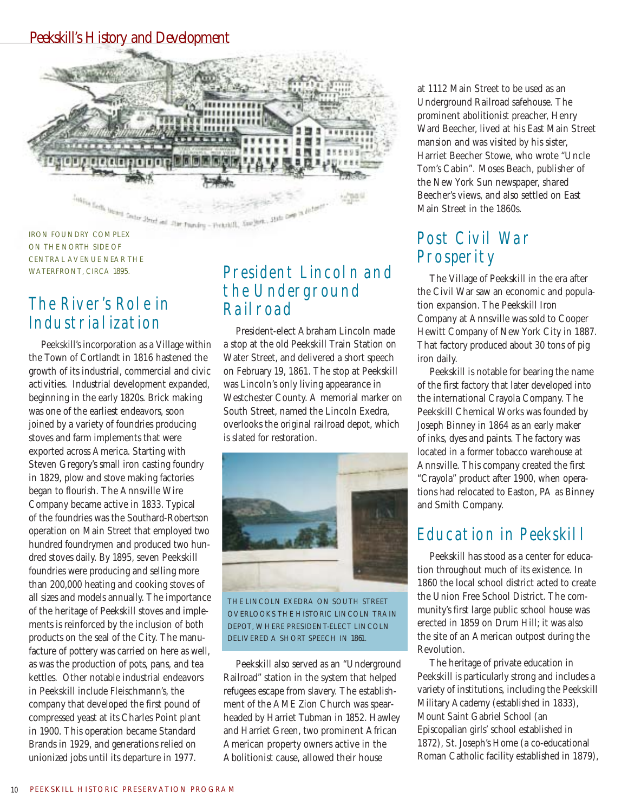#### Peekskill's History and Development



ON THE NORTH SIDE OF CENTRAL AVENUE NEAR THE WATERFRONT, CIRCA 1895.

### The River's Role in Industrialization

Peekskill's incorporation as a Village within the Town of Cortlandt in 1816 hastened the growth of its industrial, commercial and civic activities. Industrial development expanded, beginning in the early 1820s. Brick making was one of the earliest endeavors, soon joined by a variety of foundries producing stoves and farm implements that were exported across America. Starting with Steven Gregory's small iron casting foundry in 1829, plow and stove making factories began to flourish. The Annsville Wire Company became active in 1833. Typical of the foundries was the Southard-Robertson operation on Main Street that employed two hundred foundrymen and produced two hundred stoves daily. By 1895, seven Peekskill foundries were producing and selling more than 200,000 heating and cooking stoves of all sizes and models annually. The importance of the heritage of Peekskill stoves and implements is reinforced by the inclusion of both products on the seal of the City. The manufacture of pottery was carried on here as well, as was the production of pots, pans, and tea kettles. Other notable industrial endeavors in Peekskill include Fleischmann's, the company that developed the first pound of compressed yeast at its Charles Point plant in 1900. This operation became Standard Brands in 1929, and generations relied on unionized jobs until its departure in 1977.

### President Lincoln and the Underground Railroad

President-elect Abraham Lincoln made a stop at the old Peekskill Train Station on Water Street, and delivered a short speech on February 19, 1861. The stop at Peekskill was Lincoln's only living appearance in Westchester County. A memorial marker on South Street, named the Lincoln Exedra, overlooks the original railroad depot, which is slated for restoration.



THE LINCOLN EXEDRA ON SOUTH STREET OVERLOOKS THE HISTORIC LINCOLN TRAIN DEPOT, WHERE PRESIDENT-ELECT LINCOLN DELIVERED A SHORT SPEECH IN 1861.

Peekskill also served as an "Underground Railroad" station in the system that helped refugees escape from slavery. The establishment of the AME Zion Church was spearheaded by Harriet Tubman in 1852. Hawley and Harriet Green, two prominent African American property owners active in the Abolitionist cause, allowed their house

at 1112 Main Street to be used as an Underground Railroad safehouse. The prominent abolitionist preacher, Henry Ward Beecher, lived at his East Main Street mansion and was visited by his sister, Harriet Beecher Stowe, who wrote "Uncle Tom's Cabin". Moses Beach, publisher of the New York Sun newspaper, shared Beecher's views, and also settled on East Main Street in the 1860s.

### Post Civil War **Prosperity**

The Village of Peekskill in the era after the Civil War saw an economic and population expansion. The Peekskill Iron Company at Annsville was sold to Cooper Hewitt Company of New York City in 1887. That factory produced about 30 tons of pig iron daily.

Peekskill is notable for bearing the name of the first factory that later developed into the international Crayola Company. The Peekskill Chemical Works was founded by Joseph Binney in 1864 as an early maker of inks, dyes and paints. The factory was located in a former tobacco warehouse at Annsville. This company created the first "Crayola" product after 1900, when operations had relocated to Easton, PA as Binney and Smith Company.

### Education in Peekskill

Peekskill has stood as a center for education throughout much of its existence. In 1860 the local school district acted to create the Union Free School District. The community's first large public school house was erected in 1859 on Drum Hill; it was also the site of an American outpost during the Revolution.

The heritage of private education in Peekskill is particularly strong and includes a variety of institutions, including the Peekskill Military Academy (established in 1833), Mount Saint Gabriel School (an Episcopalian girls' school established in 1872), St. Joseph's Home (a co-educational Roman Catholic facility established in 1879),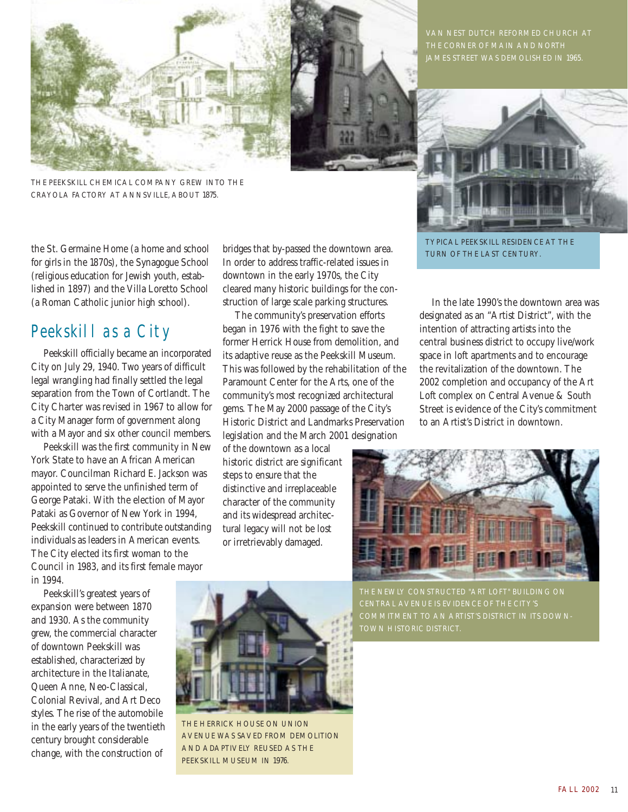

THE PEEKSKILL CHEMICAL COMPANY GREW INTO THE CRAYOLA FACTORY AT ANNSVILLE, ABOUT 1875.

the St. Germaine Home (a home and school for girls in the 1870s), the Synagogue School (religious education for Jewish youth, established in 1897) and the Villa Loretto School (a Roman Catholic junior high school).

#### Peekskill as a City

Peekskill officially became an incorporated City on July 29, 1940. Two years of difficult legal wrangling had finally settled the legal separation from the Town of Cortlandt. The City Charter was revised in 1967 to allow for a City Manager form of government along with a Mayor and six other council members.

Peekskill was the first community in New York State to have an African American mayor. Councilman Richard E. Jackson was appointed to serve the unfinished term of George Pataki. With the election of Mayor Pataki as Governor of New York in 1994, Peekskill continued to contribute outstanding individuals as leaders in American events. The City elected its first woman to the Council in 1983, and its first female mayor in 1994.

Peekskill's greatest years of expansion were between 1870 and 1930. As the community grew, the commercial character of downtown Peekskill was established, characterized by architecture in the Italianate, Queen Anne, Neo-Classical, Colonial Revival, and Art Deco styles. The rise of the automobile in the early years of the twentieth century brought considerable change, with the construction of

bridges that by-passed the downtown area. In order to address traffic-related issues in downtown in the early 1970s, the City cleared many historic buildings for the construction of large scale parking structures.

The community's preservation efforts began in 1976 with the fight to save the former Herrick House from demolition, and its adaptive reuse as the Peekskill Museum. This was followed by the rehabilitation of the Paramount Center for the Arts, one of the community's most recognized architectural gems. The May 2000 passage of the City's Historic District and Landmarks Preservation legislation and the March 2001 designation

of the downtown as a local historic district are significant steps to ensure that the distinctive and irreplaceable character of the community and its widespread architectural legacy will not be lost or irretrievably damaged.





TYPICAL PEEKSKILL RESIDENCE AT THE TURN OF THE LAST CENTURY.

In the late 1990's the downtown area was designated as an "Artist District", with the intention of attracting artists into the central business district to occupy live/work space in loft apartments and to encourage the revitalization of the downtown. The 2002 completion and occupancy of the Art Loft complex on Central Avenue & South Street is evidence of the City's commitment to an Artist's District in downtown.





THE HERRICK HOUSE ON UNION AVENUE WAS SAVED FROM DEMOLITION AND ADAPTIVELY REUSED AS THE PEEKSKILL MUSEUM IN 1976.

THE NEWLY CONSTRUCTED "ART LOFT" BUILDING ON CENTRAL AVENUE IS EVIDENCE OF THE CITY'S COMMITMENT TO AN ARTIST'S DISTRICT IN ITS DOWN-TOWN HISTORIC DISTRICT.